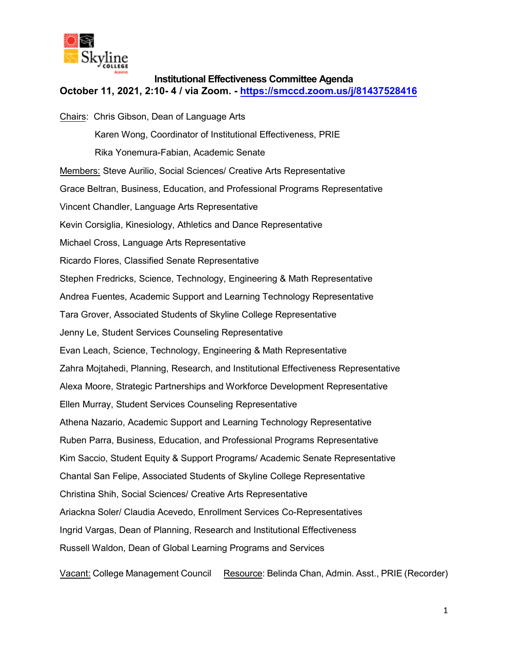

## **Institutional Effectiveness Committee Agenda**

**October 11, 2021, 2:10- 4 / via Zoom. -<https://smccd.zoom.us/j/81437528416>**

Chairs: Chris Gibson, Dean of Language Arts Karen Wong, Coordinator of Institutional Effectiveness, PRIE Rika Yonemura-Fabian, Academic Senate Members: Steve Aurilio, Social Sciences/ Creative Arts Representative Grace Beltran, Business, Education, and Professional Programs Representative Vincent Chandler, Language Arts Representative Kevin Corsiglia, Kinesiology, Athletics and Dance Representative Michael Cross, Language Arts Representative Ricardo Flores, Classified Senate Representative Stephen Fredricks, Science, Technology, Engineering & Math Representative Andrea Fuentes, Academic Support and Learning Technology Representative Tara Grover, Associated Students of Skyline College Representative Jenny Le, Student Services Counseling Representative Evan Leach, Science, Technology, Engineering & Math Representative Zahra Mojtahedi, Planning, Research, and Institutional Effectiveness Representative Alexa Moore, Strategic Partnerships and Workforce Development Representative Ellen Murray, Student Services Counseling Representative Athena Nazario, Academic Support and Learning Technology Representative Ruben Parra, Business, Education, and Professional Programs Representative Kim Saccio, Student Equity & Support Programs/ Academic Senate Representative Chantal San Felipe, Associated Students of Skyline College Representative Christina Shih, Social Sciences/ Creative Arts Representative Ariackna Soler/ Claudia Acevedo, Enrollment Services Co-Representatives Ingrid Vargas, Dean of Planning, Research and Institutional Effectiveness Russell Waldon, Dean of Global Learning Programs and Services

Vacant: College Management Council Resource: Belinda Chan, Admin. Asst., PRIE (Recorder)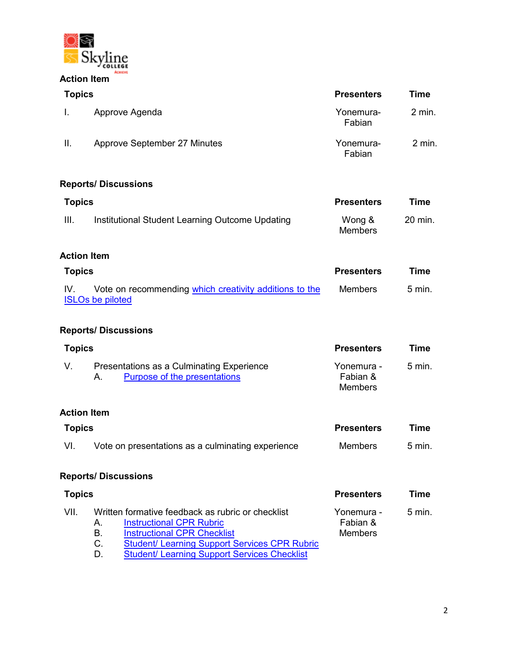

| <b>Topics</b> |                                                                                                                                        | <b>Presenters</b>                        | <b>Time</b> |
|---------------|----------------------------------------------------------------------------------------------------------------------------------------|------------------------------------------|-------------|
| Ι.            | Approve Agenda                                                                                                                         | Yonemura-<br>Fabian                      | 2 min.      |
| Ш.            | Approve September 27 Minutes                                                                                                           | Yonemura-<br>Fabian                      | $2$ min.    |
|               | <b>Reports/ Discussions</b>                                                                                                            |                                          |             |
|               | <b>Topics</b>                                                                                                                          |                                          | <b>Time</b> |
| Ш.            | Institutional Student Learning Outcome Updating                                                                                        | Wong &<br><b>Members</b>                 | 20 min.     |
|               | <b>Action Item</b>                                                                                                                     |                                          |             |
| <b>Topics</b> |                                                                                                                                        | <b>Presenters</b>                        | <b>Time</b> |
| IV.           | Vote on recommending which creativity additions to the<br><b>ISLOs be piloted</b>                                                      | <b>Members</b>                           | 5 min.      |
|               | <b>Reports/Discussions</b>                                                                                                             |                                          |             |
| <b>Topics</b> |                                                                                                                                        | <b>Presenters</b>                        | <b>Time</b> |
| V.            | Presentations as a Culminating Experience<br><b>Purpose of the presentations</b><br>А.                                                 | Yonemura -<br>Fabian &<br><b>Members</b> | 5 min.      |
|               | <b>Action Item</b>                                                                                                                     |                                          |             |
| <b>Topics</b> |                                                                                                                                        | <b>Presenters</b>                        | <b>Time</b> |
| VI.           | Vote on presentations as a culminating experience                                                                                      | <b>Members</b>                           | 5 min.      |
|               | <b>Reports/Discussions</b>                                                                                                             |                                          |             |
| <b>Topics</b> |                                                                                                                                        | <b>Presenters</b>                        | <b>Time</b> |
| VII.          | Written formative feedback as rubric or checklist<br><b>Instructional CPR Rubric</b><br>А.<br><b>Instructional CPR Checklist</b><br>Β. | Yonemura -<br>Fabian &<br>Members        | 5 min.      |

D. [Student/ Learning Support Services Checklist](https://docs.google.com/document/d/1EqgUIxHxf6RtRF629U59tHCxahTpCjWU/edit?usp=sharing&ouid=106077962206322021227&rtpof=true&sd=true)

C. Student/ Learning [Support Services CPR Rubric](https://docs.google.com/document/d/1pxxTETM0b29RHeaEGaDvH8MphhDfr7Lf/edit?usp=sharing&ouid=106077962206322021227&rtpof=true&sd=true)